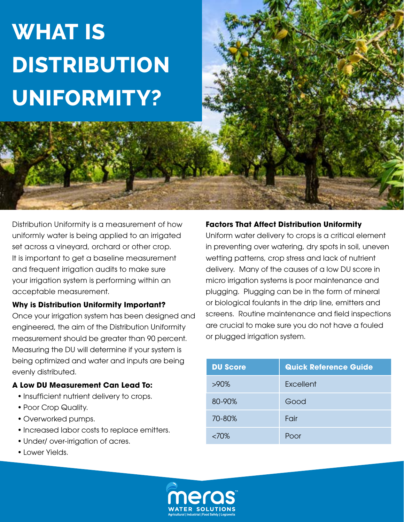# **What is Distribution Uniformity?**

Distribution Uniformity is a measurement of how uniformly water is being applied to an irrigated set across a vineyard, orchard or other crop. It is important to get a baseline measurement and frequent irrigation audits to make sure your irrigation system is performing within an acceptable measurement.

#### **Why is Distribution Uniformity Important?**

Once your irrigation system has been designed and engineered, the aim of the Distribution Uniformity measurement should be greater than 90 percent. Measuring the DU will determine if your system is being optimized and water and inputs are being evenly distributed.

#### **A Low DU Measurement Can Lead To:**

- Insufficient nutrient delivery to crops.
- Poor Crop Quality.
- Overworked pumps.
- Increased labor costs to replace emitters.
- Under/ over-irrigation of acres.
- Lower Yields.

#### **Factors That Affect Distribution Uniformity**

Uniform water delivery to crops is a critical element in preventing over watering, dry spots in soil, uneven wetting patterns, crop stress and lack of nutrient delivery. Many of the causes of a low DU score in micro irrigation systems is poor maintenance and plugging. Plugging can be in the form of mineral or biological foulants in the drip line, emitters and screens. Routine maintenance and field inspections are crucial to make sure you do not have a fouled or plugged irrigation system.

| <b>DU Score</b> | <b>Quick Reference Guide</b> |
|-----------------|------------------------------|
| $>90\%$         | Excellent                    |
| 80-90%          | Good                         |
| 70-80%          | Fair                         |
| <70%            | Poor                         |